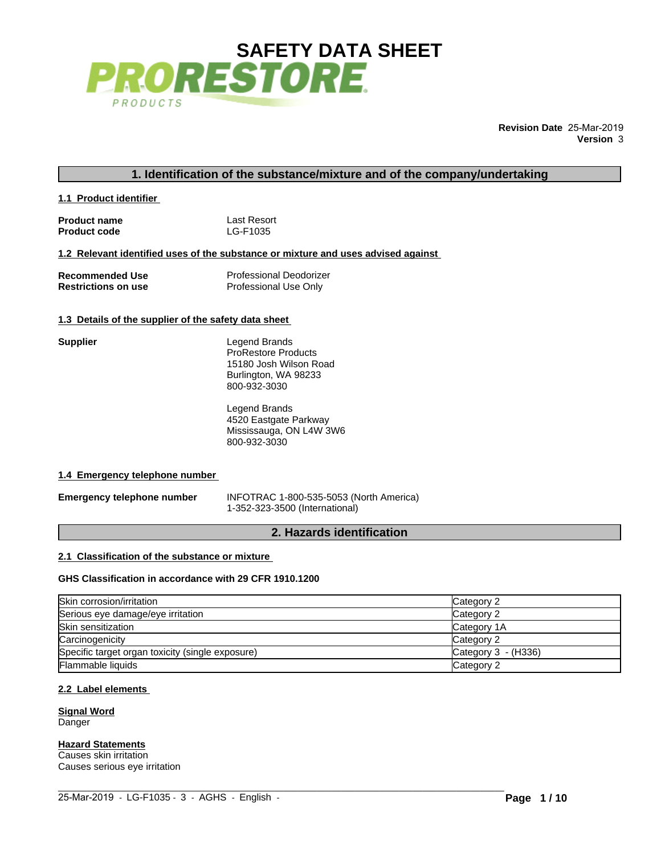

**Revision Date** 25-Mar-2019 **Version** 3

**1.1 Product identifier** 

| <b>Product name</b> | Last Resort |
|---------------------|-------------|
| <b>Product code</b> | LG-F1035    |

**1.2 Relevant identified uses of the substance or mixture and uses advised against** 

| <b>Recommended Use</b>     | <b>Professional Deodorizer</b> |
|----------------------------|--------------------------------|
| <b>Restrictions on use</b> | Professional Use Only          |

# **1.3 Details of the supplier of the safety data sheet**

| <b>Supplier</b>                                | Legend Brands                                          |  |  |  |  |  |  |
|------------------------------------------------|--------------------------------------------------------|--|--|--|--|--|--|
|                                                | <b>ProRestore Products</b>                             |  |  |  |  |  |  |
|                                                | 15180 Josh Wilson Road                                 |  |  |  |  |  |  |
|                                                | Burlington, WA 98233                                   |  |  |  |  |  |  |
|                                                | 800-932-3030                                           |  |  |  |  |  |  |
|                                                | Legend Brands                                          |  |  |  |  |  |  |
|                                                | 4520 Eastgate Parkway                                  |  |  |  |  |  |  |
|                                                | Mississauga, ON L4W 3W6                                |  |  |  |  |  |  |
|                                                | 800-932-3030                                           |  |  |  |  |  |  |
| 1.4 Emergency telephone number                 |                                                        |  |  |  |  |  |  |
| <b>Emergency telephone number</b>              | INFOTRAC 1-800-535-5053 (North America)                |  |  |  |  |  |  |
|                                                | 1-352-323-3500 (International)                         |  |  |  |  |  |  |
| 2. Hazards identification                      |                                                        |  |  |  |  |  |  |
| 2.1 Classification of the substance or mixture |                                                        |  |  |  |  |  |  |
|                                                |                                                        |  |  |  |  |  |  |
|                                                | GHS Classification in accordance with 29 CFR 1910.1200 |  |  |  |  |  |  |

 $\_$  , and the set of the set of the set of the set of the set of the set of the set of the set of the set of the set of the set of the set of the set of the set of the set of the set of the set of the set of the set of th

## **1.4 Emergency telephone number**

# **2.1 Classification of the substance or mixture**

# **GHS Classification in accordance with 29 CFR 1910.1200**

| Skin corrosion/irritation                        | Category 2            |
|--------------------------------------------------|-----------------------|
| Serious eye damage/eye irritation                | Category 2            |
| Skin sensitization                               | Category 1A           |
| Carcinogenicity                                  | Category 2            |
| Specific target organ toxicity (single exposure) | Category $3 - (H336)$ |
| <b>Flammable liquids</b>                         | Category 2            |

# **2.2 Label elements**

**Signal Word** Danger

**Hazard Statements**

Causes skin irritation Causes serious eye irritation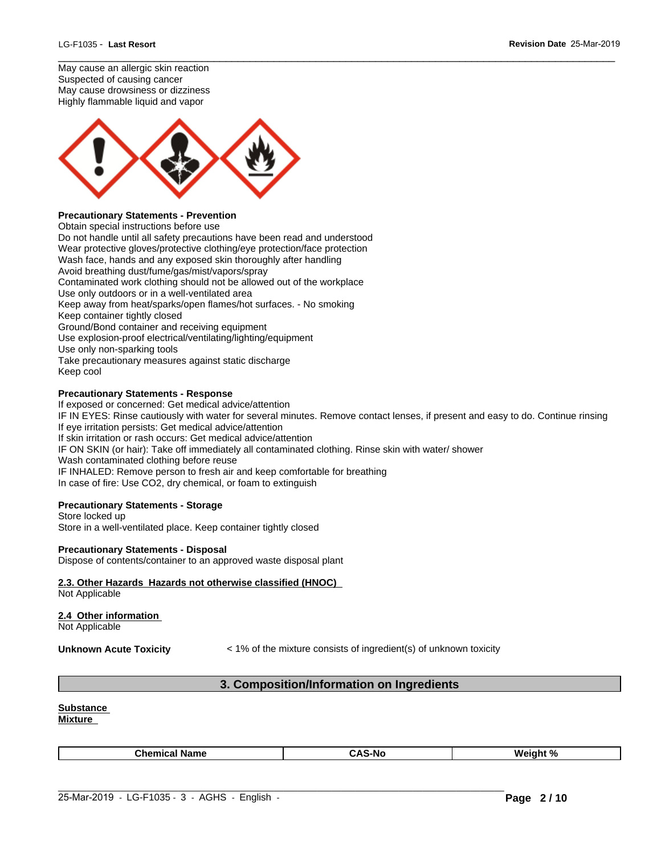May cause an allergic skin reaction Suspected of causing cancer May cause drowsiness or dizziness Highly flammable liquid and vapor



# **Precautionary Statements - Prevention**

Obtain special instructions before use Do not handle until all safety precautions have been read and understood Wear protective gloves/protective clothing/eye protection/face protection Wash face, hands and any exposed skin thoroughly after handling Avoid breathing dust/fume/gas/mist/vapors/spray Contaminated work clothing should not be allowed out of the workplace Use only outdoors or in a well-ventilated area Keep away from heat/sparks/open flames/hot surfaces. - No smoking Keep container tightly closed Ground/Bond container and receiving equipment Use explosion-proof electrical/ventilating/lighting/equipment Use only non-sparking tools Take precautionary measures against static discharge Keep cool

## **Precautionary Statements - Response**

If exposed or concerned: Get medical advice/attention IF IN EYES: Rinse cautiously with water for several minutes. Remove contact lenses, if present and easy to do. Continue rinsing If eye irritation persists: Get medical advice/attention If skin irritation or rash occurs: Get medical advice/attention IF ON SKIN (or hair): Take off immediately all contaminated clothing. Rinse skin with water/ shower Wash contaminated clothing before reuse IF INHALED: Remove person to fresh air and keep comfortable for breathing In case of fire: Use CO2, dry chemical, or foam to extinguish

 $\_$  ,  $\_$  ,  $\_$  ,  $\_$  ,  $\_$  ,  $\_$  ,  $\_$  ,  $\_$  ,  $\_$  ,  $\_$  ,  $\_$  ,  $\_$  ,  $\_$  ,  $\_$  ,  $\_$  ,  $\_$  ,  $\_$  ,  $\_$  ,  $\_$  ,  $\_$  ,  $\_$  ,  $\_$  ,  $\_$  ,  $\_$  ,  $\_$  ,  $\_$  ,  $\_$  ,  $\_$  ,  $\_$  ,  $\_$  ,  $\_$  ,  $\_$  ,  $\_$  ,  $\_$  ,  $\_$  ,  $\_$  ,  $\_$  ,

# **Precautionary Statements - Storage**

Store locked up Store in a well-ventilated place. Keep container tightly closed

## **Precautionary Statements - Disposal**

Dispose of contents/container to an approved waste disposal plant

# **2.3. Other Hazards Hazards not otherwise classified (HNOC)**

Not Applicable

# **2.4 Other information**

Not Applicable

**Unknown Acute Toxicity**  $\lt$  1% of the mixture consists of ingredient(s) of unknown toxicity **3. Composition/Information on Ingredients**<br> **3. Composition/Information on Ingredients** 

## **Substance**

**Mixture** 

 $\_$  , and the set of the set of the set of the set of the set of the set of the set of the set of the set of the set of the set of the set of the set of the set of the set of the set of the set of the set of the set of th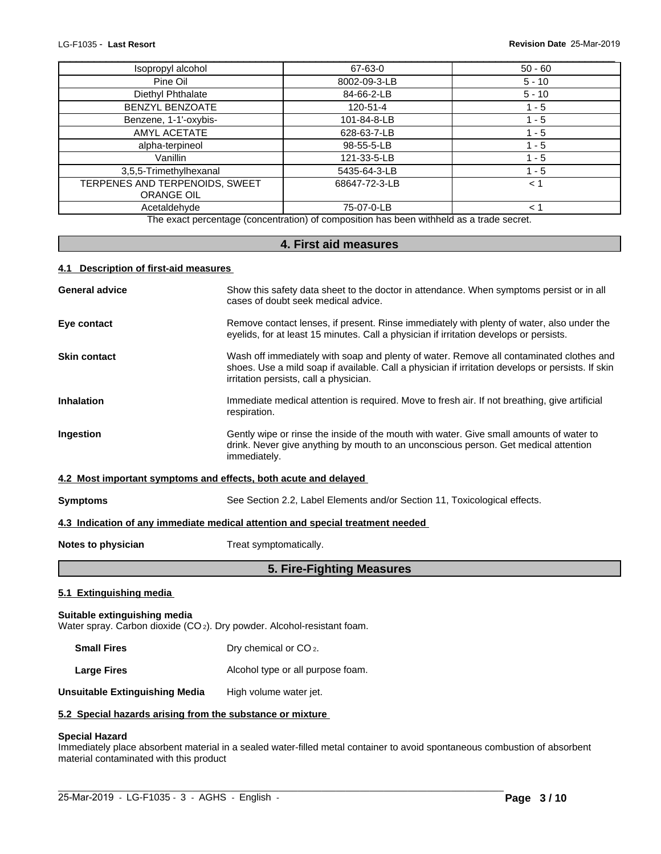| 4.1 Description of first-aid measures |                                                                                          |           |
|---------------------------------------|------------------------------------------------------------------------------------------|-----------|
|                                       | 4. First aid measures                                                                    |           |
|                                       | The exact percentage (concentration) of composition has been withheld as a trade secret. |           |
| Acetaldehyde                          | 75-07-0-LB                                                                               | < 1       |
| <b>ORANGE OIL</b>                     |                                                                                          |           |
| TERPENES AND TERPENOIDS, SWEET        | 68647-72-3-LB                                                                            | $<$ 1     |
| 3,5,5-Trimethylhexanal                | 5435-64-3-LB                                                                             | $1 - 5$   |
| Vanillin                              | 121-33-5-LB                                                                              | $1 - 5$   |
| alpha-terpineol                       | 98-55-5-LB                                                                               | $1 - 5$   |
| AMYL ACETATE                          | 628-63-7-LB                                                                              | $1 - 5$   |
| Benzene, 1-1'-oxybis-                 | 101-84-8-LB                                                                              | $1 - 5$   |
| <b>BENZYL BENZOATE</b>                | 120-51-4                                                                                 | $1 - 5$   |
| Diethyl Phthalate                     | 84-66-2-LB                                                                               | $5 - 10$  |
| Pine Oil                              | 8002-09-3-LB                                                                             | $5 - 10$  |
| Isopropyl alcohol                     | 67-63-0                                                                                  | $50 - 60$ |

# **4.1 Description of first-aid measures**

| <b>General advice</b>                                                                                               | Show this safety data sheet to the doctor in attendance. When symptoms persist or in all<br>cases of doubt seek medical advice.                                                                                                        |  |  |  |  |
|---------------------------------------------------------------------------------------------------------------------|----------------------------------------------------------------------------------------------------------------------------------------------------------------------------------------------------------------------------------------|--|--|--|--|
| Eye contact                                                                                                         | Remove contact lenses, if present. Rinse immediately with plenty of water, also under the                                                                                                                                              |  |  |  |  |
|                                                                                                                     | eyelids, for at least 15 minutes. Call a physician if irritation develops or persists.                                                                                                                                                 |  |  |  |  |
| <b>Skin contact</b>                                                                                                 | Wash off immediately with soap and plenty of water. Remove all contaminated clothes and<br>shoes. Use a mild soap if available. Call a physician if irritation develops or persists. If skin<br>irritation persists, call a physician. |  |  |  |  |
| <b>Inhalation</b>                                                                                                   | Immediate medical attention is required. Move to fresh air. If not breathing, give artificial<br>respiration.                                                                                                                          |  |  |  |  |
| Ingestion                                                                                                           | Gently wipe or rinse the inside of the mouth with water. Give small amounts of water to<br>drink. Never give anything by mouth to an unconscious person. Get medical attention<br>immediately.                                         |  |  |  |  |
| 4.2 Most important symptoms and effects, both acute and delayed                                                     |                                                                                                                                                                                                                                        |  |  |  |  |
| <b>Symptoms</b>                                                                                                     | See Section 2.2, Label Elements and/or Section 11, Toxicological effects.                                                                                                                                                              |  |  |  |  |
|                                                                                                                     | 4.3 Indication of any immediate medical attention and special treatment needed                                                                                                                                                         |  |  |  |  |
| Treat symptomatically.<br>Notes to physician                                                                        |                                                                                                                                                                                                                                        |  |  |  |  |
|                                                                                                                     | 5. Fire-Fighting Measures                                                                                                                                                                                                              |  |  |  |  |
| 5.1 Extinguishing media                                                                                             |                                                                                                                                                                                                                                        |  |  |  |  |
| Suitable extinguishing media<br>Water spray. Carbon dioxide (CO <sub>2</sub> ). Dry powder. Alcohol-resistant foam. |                                                                                                                                                                                                                                        |  |  |  |  |
| <b>Small Fires</b>                                                                                                  | Dry chemical or CO <sub>2</sub> .                                                                                                                                                                                                      |  |  |  |  |
| <b>Large Fires</b>                                                                                                  | Alcohol type or all purpose foam.                                                                                                                                                                                                      |  |  |  |  |
| <b>Unsuitable Extinguishing Media</b>                                                                               | High volume water jet.                                                                                                                                                                                                                 |  |  |  |  |
|                                                                                                                     |                                                                                                                                                                                                                                        |  |  |  |  |

# **5.2 Special hazards arising from the substance or mixture**

# **Special Hazard**

Immediately place absorbent material in a sealed water-filled metal container to avoid spontaneous combustion of absorbent material contaminated with this product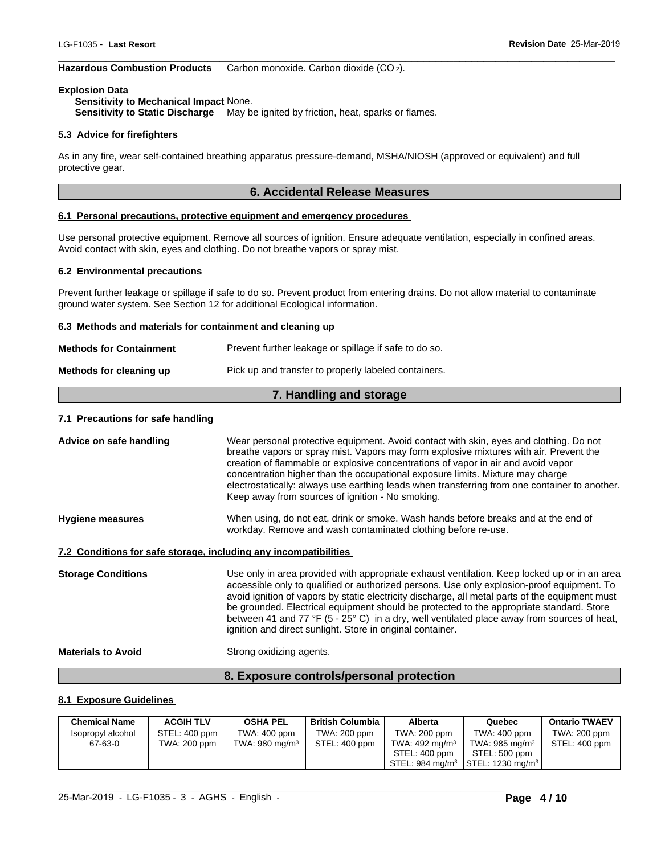## **Hazardous Combustion Products** Carbon monoxide. Carbon dioxide (CO 2).

## **Explosion Data**

# **Sensitivity to Mechanical Impact** None. **Sensitivity to Static Discharge** May be ignited by friction, heat, sparks or flames.

## **5.3 Advice for firefighters**

As in any fire, wear self-contained breathing apparatus pressure-demand, MSHA/NIOSH (approved or equivalent) and full protective gear. **Example 10.4 Accord Bending Constrainers (CO2).**<br>
For ignited by friction, heat, sparks or flames.<br>
Accidental Release Measures<br> **6. Accidental Release Measures**<br> **16. Accidental Release Measures**<br>
All sources of ignition

 $\_$  ,  $\_$  ,  $\_$  ,  $\_$  ,  $\_$  ,  $\_$  ,  $\_$  ,  $\_$  ,  $\_$  ,  $\_$  ,  $\_$  ,  $\_$  ,  $\_$  ,  $\_$  ,  $\_$  ,  $\_$  ,  $\_$  ,  $\_$  ,  $\_$  ,  $\_$  ,  $\_$  ,  $\_$  ,  $\_$  ,  $\_$  ,  $\_$  ,  $\_$  ,  $\_$  ,  $\_$  ,  $\_$  ,  $\_$  ,  $\_$  ,  $\_$  ,  $\_$  ,  $\_$  ,  $\_$  ,  $\_$  ,  $\_$  ,

# **6.1 Personal precautions, protective equipment and emergency procedures**

Use personal protective equipment. Remove all sources of ignition. Ensure adequate ventilation, especially in confined areas. Avoid contact with skin, eyes and clothing. Do not breathe vapors or spray mist.

## **6.2 Environmental precautions**

Prevent further leakage or spillage if safe to do so. Prevent product from entering drains. Do not allow material to contaminate ground water system. See Section 12 for additional Ecological information.

## **6.3 Methods and materials for containment and cleaning up**

|                                                                                 | 6.1 Personal precautions, protective equipment and emergency procedures                                                                                                                             |  |  |  |  |
|---------------------------------------------------------------------------------|-----------------------------------------------------------------------------------------------------------------------------------------------------------------------------------------------------|--|--|--|--|
|                                                                                 | Use personal protective equipment. Remove all sources of ignition. Ensure adequate ventilation, especially in o<br>Avoid contact with skin, eyes and clothing. Do not breathe vapors or spray mist. |  |  |  |  |
| 6.2 Environmental precautions                                                   |                                                                                                                                                                                                     |  |  |  |  |
|                                                                                 | Prevent further leakage or spillage if safe to do so. Prevent product from entering drains. Do not allow material<br>ground water system. See Section 12 for additional Ecological information.     |  |  |  |  |
| 6.3 Methods and materials for containment and cleaning up                       |                                                                                                                                                                                                     |  |  |  |  |
| <b>Methods for Containment</b>                                                  | Prevent further leakage or spillage if safe to do so.                                                                                                                                               |  |  |  |  |
| Methods for cleaning up<br>Pick up and transfer to properly labeled containers. |                                                                                                                                                                                                     |  |  |  |  |
|                                                                                 | 7. Handling and storage                                                                                                                                                                             |  |  |  |  |
| 7.1 Precautions for safe handling                                               |                                                                                                                                                                                                     |  |  |  |  |
| Advice on safe handling                                                         | Wear personal protective equipment. Avoid contact with skin, eves and                                                                                                                               |  |  |  |  |

## **7.1 Precautions for safe handling**

| Advice on safe handling                               | Wear personal protective equipment. Avoid contact with skin, eyes and clothing. Do not<br>breathe vapors or spray mist. Vapors may form explosive mixtures with air. Prevent the<br>creation of flammable or explosive concentrations of vapor in air and avoid vapor<br>concentration higher than the occupational exposure limits. Mixture may charge<br>electrostatically: always use earthing leads when transferring from one container to another.<br>Keep away from sources of ignition - No smoking.                                           |  |  |  |  |  |
|-------------------------------------------------------|--------------------------------------------------------------------------------------------------------------------------------------------------------------------------------------------------------------------------------------------------------------------------------------------------------------------------------------------------------------------------------------------------------------------------------------------------------------------------------------------------------------------------------------------------------|--|--|--|--|--|
| <b>Hygiene measures</b>                               | When using, do not eat, drink or smoke. Wash hands before breaks and at the end of<br>workday. Remove and wash contaminated clothing before re-use.                                                                                                                                                                                                                                                                                                                                                                                                    |  |  |  |  |  |
|                                                       | 7.2 Conditions for safe storage, including any incompatibilities                                                                                                                                                                                                                                                                                                                                                                                                                                                                                       |  |  |  |  |  |
| <b>Storage Conditions</b>                             | Use only in area provided with appropriate exhaust ventilation. Keep locked up or in an area<br>accessible only to qualified or authorized persons. Use only explosion-proof equipment. To<br>avoid ignition of vapors by static electricity discharge, all metal parts of the equipment must<br>be grounded. Electrical equipment should be protected to the appropriate standard. Store<br>between 41 and 77 °F (5 - 25° C) in a dry, well ventilated place away from sources of heat,<br>ignition and direct sunlight. Store in original container. |  |  |  |  |  |
| Strong oxidizing agents.<br><b>Materials to Avoid</b> |                                                                                                                                                                                                                                                                                                                                                                                                                                                                                                                                                        |  |  |  |  |  |
|                                                       | 8. Exposure controls/personal protection                                                                                                                                                                                                                                                                                                                                                                                                                                                                                                               |  |  |  |  |  |
| 8.1 Exposure Guidelines                               |                                                                                                                                                                                                                                                                                                                                                                                                                                                                                                                                                        |  |  |  |  |  |
| <b>ACGIH TLV</b><br><b>Chemical Name</b>              | <b>OSHA PEL</b><br><b>British Columbia</b><br><b>Ontario TWAEV</b><br>Alberta<br>Quebec                                                                                                                                                                                                                                                                                                                                                                                                                                                                |  |  |  |  |  |

# **8.1 Exposure Guidelines**

| Chemical Name     | <b>ACGIH TLV</b> | <b>OSHA PEL</b>            | <b>British Columbia</b> | Alberta           | Quebec                                                     | <b>Ontario TWAEV</b> |
|-------------------|------------------|----------------------------|-------------------------|-------------------|------------------------------------------------------------|----------------------|
| Isopropyl alcohol | STEL: 400 ppm    | TWA: 400 ppm               | TWA: 200 ppm            | TWA: 200 ppm      | TWA: 400 ppm                                               | TWA: 200 ppm         |
| 67-63-0           | TWA: 200 ppm     | TWA: 980 mg/m <sup>3</sup> | STEL: 400 ppm           | TWA: 492 mg/m $3$ | TWA: 985 mg/m $3$                                          | STEL: 400 ppm        |
|                   |                  |                            |                         | STEL: 400 ppm     | STEL: 500 ppm                                              |                      |
|                   |                  |                            |                         |                   | STEL: 984 mg/m <sup>3</sup>   STEL: 1230 mg/m <sup>3</sup> |                      |

 $\_$  , and the set of the set of the set of the set of the set of the set of the set of the set of the set of the set of the set of the set of the set of the set of the set of the set of the set of the set of the set of th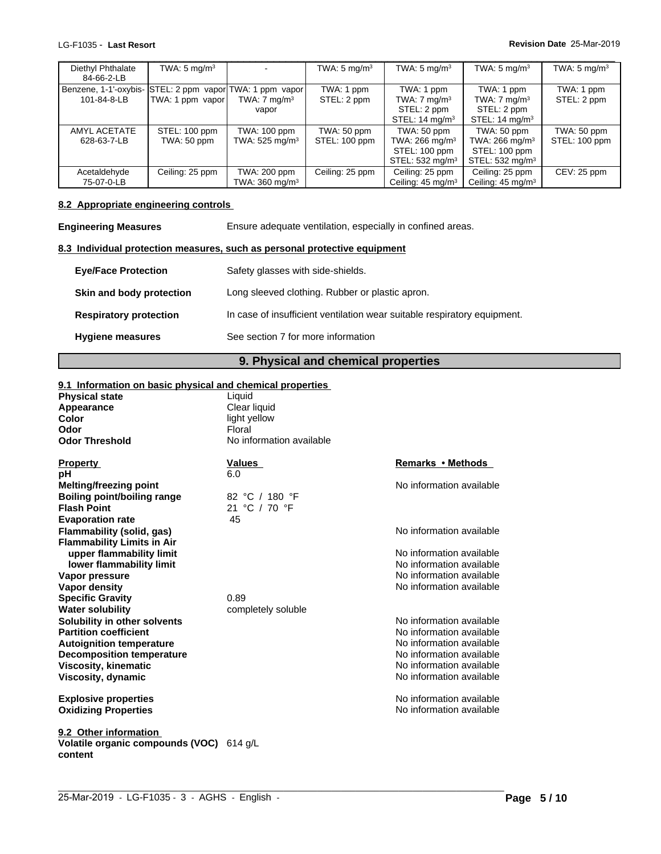| Diethyl Phthalate                                        | TWA: $5 \text{ mg/m}^3$ |                              | TWA: $5 \text{ mg/m}^3$ | TWA: $5 \text{ mg/m}^3$      | TWA: $5 \text{ mg/m}^3$       | TWA: $5 \text{ mg/m}^3$ |
|----------------------------------------------------------|-------------------------|------------------------------|-------------------------|------------------------------|-------------------------------|-------------------------|
| 84-66-2-LB                                               |                         |                              |                         |                              |                               |                         |
| Benzene, 1-1'-oxybis- STEL: 2 ppm vapor TWA: 1 ppm vapor |                         |                              | TWA: 1 ppm              | TWA: 1 ppm                   | TWA: 1 ppm                    | TWA: 1 ppm              |
| 101-84-8-LB                                              | TWA: 1 ppm vapor        | TWA: $7 \text{ mg/m}^3$      | STEL: 2 ppm             | TWA: $7 \text{ mg/m}^3$      | TWA: $7 \text{ mg/m}^3$       | STEL: 2 ppm             |
|                                                          |                         | vapor                        |                         | STEL: 2 ppm                  | STEL: 2 ppm                   |                         |
|                                                          |                         |                              |                         | STEL: $14 \text{ mg/m}^3$    | STEL: $14 \text{ mg/m}^3$     |                         |
| AMYL ACETATE                                             | STEL: 100 ppm           | TWA: 100 ppm                 | TWA: 50 ppm             | TWA: 50 ppm                  | TWA: 50 ppm                   | TWA: 50 ppm             |
| 628-63-7-LB                                              | TWA: 50 ppm             | TWA: $525$ mg/m <sup>3</sup> | STEL: 100 ppm           | TWA: $266$ mg/m <sup>3</sup> | TWA: 266 mg/m <sup>3</sup>    | STEL: 100 ppm           |
|                                                          |                         |                              |                         | STEL: 100 ppm                | STEL: 100 ppm                 |                         |
|                                                          |                         |                              |                         | STEL: 532 mg/m <sup>3</sup>  | STEL: 532 mg/m <sup>3</sup>   |                         |
| Acetaldehyde                                             | Ceiling: 25 ppm         | TWA: 200 ppm                 | Ceiling: 25 ppm         | Ceiling: 25 ppm              | Ceiling: 25 ppm               | CEV: 25 ppm             |
| 75-07-0-LB                                               |                         | TWA: 360 mg/m <sup>3</sup>   |                         | Ceiling: $45 \text{ mg/m}^3$ | Ceiling: 45 mg/m <sup>3</sup> |                         |

# **8.2 Appropriate engineering controls**

| nuuuuunvuu<br>75-07-0-LB                                                           | OUIIIIIY. LU PPIII                                                                        | $\overline{1}$ vv $\overline{1}$ . $\overline{2}$ vv $\overline{2}$<br>TWA: $360$ mg/m <sup>3</sup> | <b>OUTHING</b> CO PPILE | <b>OUTHING</b> COPPILE<br>Ceiling: $45 \text{ mg/m}^3$ | <b>OUTHING</b> CUPPIN<br>Ceiling: $45 \text{ mg/m}^3$ | ◡└▿ |  |
|------------------------------------------------------------------------------------|-------------------------------------------------------------------------------------------|-----------------------------------------------------------------------------------------------------|-------------------------|--------------------------------------------------------|-------------------------------------------------------|-----|--|
| 8.2 Appropriate engineering controls                                               |                                                                                           |                                                                                                     |                         |                                                        |                                                       |     |  |
|                                                                                    | Ensure adequate ventilation, especially in confined areas.<br><b>Engineering Measures</b> |                                                                                                     |                         |                                                        |                                                       |     |  |
| 8.3 Individual protection measures, such as personal protective equipment          |                                                                                           |                                                                                                     |                         |                                                        |                                                       |     |  |
| <b>Eye/Face Protection</b>                                                         |                                                                                           | Safety glasses with side-shields.                                                                   |                         |                                                        |                                                       |     |  |
| Skin and body protection                                                           |                                                                                           | Long sleeved clothing. Rubber or plastic apron.                                                     |                         |                                                        |                                                       |     |  |
| <b>Respiratory protection</b>                                                      |                                                                                           | In case of insufficient ventilation wear suitable respiratory equipment.                            |                         |                                                        |                                                       |     |  |
| <b>Hygiene measures</b>                                                            |                                                                                           | See section 7 for more information                                                                  |                         |                                                        |                                                       |     |  |
| 9. Physical and chemical properties                                                |                                                                                           |                                                                                                     |                         |                                                        |                                                       |     |  |
| 9.1 Information on basic physical and chemical properties<br><b>Physical state</b> |                                                                                           | Liquid<br>Clear liquid                                                                              |                         |                                                        |                                                       |     |  |
| Appearance                                                                         |                                                                                           |                                                                                                     |                         |                                                        |                                                       |     |  |

# **9.1 Information on basic physical and chemical properties**

| <b>Physical state</b>                               | Liquid                   |                          |
|-----------------------------------------------------|--------------------------|--------------------------|
| Appearance                                          | Clear liquid             |                          |
| Color                                               | light yellow             |                          |
| Odor                                                | Floral                   |                          |
| <b>Odor Threshold</b>                               | No information available |                          |
| <b>Property</b>                                     | <b>Values</b>            | Remarks • Methods        |
| рH                                                  | 6.0                      |                          |
| Melting/freezing point                              |                          | No information available |
| <b>Boiling point/boiling range</b>                  | 82 °C / 180 °F           |                          |
| <b>Flash Point</b>                                  | 21 °C / 70 °F            |                          |
| <b>Evaporation rate</b>                             | 45                       |                          |
| Flammability (solid, gas)                           |                          | No information available |
| <b>Flammability Limits in Air</b>                   |                          |                          |
| upper flammability limit                            |                          | No information available |
| lower flammability limit                            |                          | No information available |
| Vapor pressure                                      |                          | No information available |
| <b>Vapor density</b>                                |                          | No information available |
| <b>Specific Gravity</b>                             | 0.89                     |                          |
| <b>Water solubility</b>                             | completely soluble       |                          |
| Solubility in other solvents                        |                          | No information available |
| <b>Partition coefficient</b>                        |                          | No information available |
| <b>Autoignition temperature</b>                     |                          | No information available |
| <b>Decomposition temperature</b>                    |                          | No information available |
| <b>Viscosity, kinematic</b>                         |                          | No information available |
| Viscosity, dynamic                                  |                          | No information available |
| <b>Explosive properties</b>                         |                          | No information available |
| <b>Oxidizing Properties</b>                         |                          | No information available |
| 9.2 Other information                               |                          |                          |
| Volatile organic compounds (VOC) 614 g/L<br>content |                          |                          |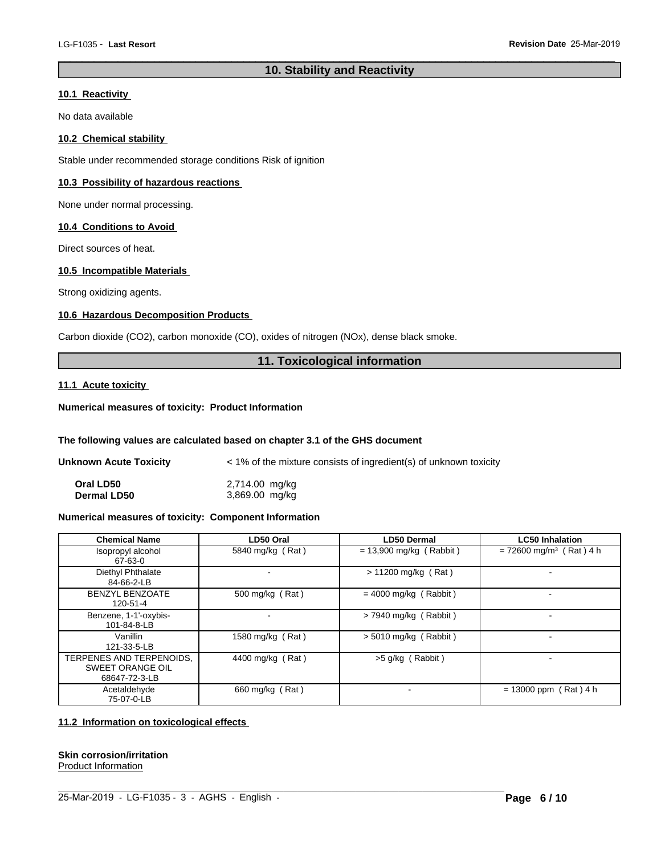# LG-F1035 - Last Resort<br> **10. Stability and Reactivity**<br>
10. Stability and Reactivity<br>
No data available

# **10.1 Reactivity**

No data available

## **10.2 Chemical stability**

Stable under recommended storage conditions Risk of ignition

# **10.3 Possibility of hazardous reactions**

None under normal processing.

## **10.4 Conditions to Avoid**

Direct sources of heat.

## **10.5 Incompatible Materials**

Strong oxidizing agents.

# **10.6 Hazardous Decomposition Products**

Carbon dioxide (CO2), carbon monoxide (CO), oxides of nitrogen (NOx), dense black smoke. **11. Toxicological information**<br> **11. Toxicological information** 

# **11.1 Acute toxicity**

# **Numerical measures of toxicity: Product Information**

## **The following values are calculated based on chapter 3.1 of the GHS document**

| Unknown Acute Toxicity | < 1% of the mixture consists of ingredient(s) of unknown toxicity |
|------------------------|-------------------------------------------------------------------|
| Oral LD50              | 2,714.00 mg/kg                                                    |
| <b>Dermal LD50</b>     | 3,869.00 mg/kg                                                    |

 $\_$  , and the set of the set of the set of the set of the set of the set of the set of the set of the set of the set of the set of the set of the set of the set of the set of the set of the set of the set of the set of th

## **Numerical measures of toxicity: Component Information**

|                                                                      | The following values are calculated based on chapter 3.1 of the GHS document |                                                                   |                                       |
|----------------------------------------------------------------------|------------------------------------------------------------------------------|-------------------------------------------------------------------|---------------------------------------|
| <b>Unknown Acute Toxicity</b>                                        |                                                                              | < 1% of the mixture consists of ingredient(s) of unknown toxicity |                                       |
| Oral LD50<br><b>Dermal LD50</b>                                      | 2,714.00 mg/kg<br>3,869.00 mg/kg                                             |                                                                   |                                       |
| Numerical measures of toxicity: Component Information                |                                                                              |                                                                   |                                       |
| <b>Chemical Name</b>                                                 | LD50 Oral                                                                    | <b>LD50 Dermal</b>                                                | <b>LC50 Inhalation</b>                |
| Isopropyl alcohol<br>67-63-0                                         | 5840 mg/kg (Rat)                                                             | $= 13,900$ mg/kg (Rabbit)                                         | $= 72600$ mg/m <sup>3</sup> (Rat) 4 h |
| Diethyl Phthalate<br>84-66-2-LB                                      | $\qquad \qquad \blacksquare$                                                 | $> 11200$ mg/kg (Rat)                                             |                                       |
| <b>BENZYL BENZOATE</b><br>120-51-4                                   | 500 mg/kg (Rat)                                                              | $= 4000$ mg/kg (Rabbit)                                           | $\blacksquare$                        |
| Benzene, 1-1'-oxybis-<br>101-84-8-LB                                 |                                                                              | $>$ 7940 mg/kg (Rabbit)                                           |                                       |
| Vanillin<br>121-33-5-LB                                              | 1580 mg/kg (Rat)                                                             | $> 5010$ mg/kg (Rabbit)                                           | $\overline{a}$                        |
| TERPENES AND TERPENOIDS.<br><b>SWEET ORANGE OIL</b><br>68647-72-3-LB | 4400 mg/kg (Rat)                                                             | $>5$ g/kg (Rabbit)                                                |                                       |
| Acetaldehyde<br>75-07-0-LB                                           | 660 mg/kg (Rat)                                                              |                                                                   | $= 13000$ ppm (Rat) 4 h               |

## **11.2 Information on toxicological effects**

# **Skin corrosion/irritation**

Product Information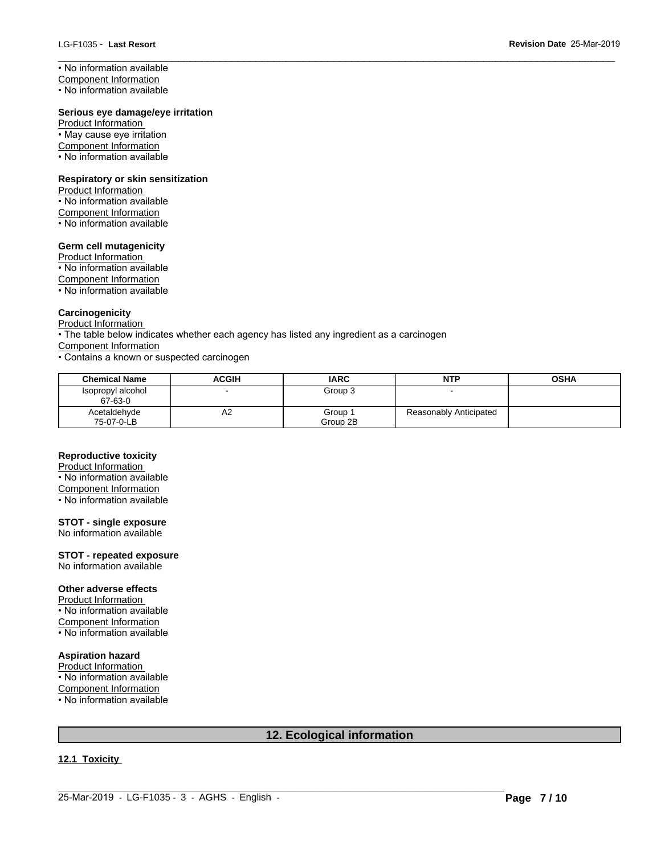• No information available

Component Information

• No information available

## **Serious eye damage/eye irritation**

Product Information • May cause eye irritation Component Information • No information available

## **Respiratory or skin sensitization**

Product Information • No information available Component Information • No information available

### **Germ cell mutagenicity**

Product Information • No information available Component Information • No information available

## **Carcinogenicity**

Product Information

• The table below indicates whether each agency has listed any ingredient as a carcinogen

Component Information

• Contains a known or suspected carcinogen

| <b>Chemical Name</b>         | <b>ACGIH</b> | <b>IARC</b>         | <b>NTP</b>             | <b>OSHA</b> |
|------------------------------|--------------|---------------------|------------------------|-------------|
| Isopropyl alcohol<br>67-63-0 |              | Group 3             |                        |             |
| Acetaldehyde<br>75-07-0-LB   | ΑZ           | Group :<br>Group 2B | Reasonably Anticipated |             |

 $\_$  ,  $\_$  ,  $\_$  ,  $\_$  ,  $\_$  ,  $\_$  ,  $\_$  ,  $\_$  ,  $\_$  ,  $\_$  ,  $\_$  ,  $\_$  ,  $\_$  ,  $\_$  ,  $\_$  ,  $\_$  ,  $\_$  ,  $\_$  ,  $\_$  ,  $\_$  ,  $\_$  ,  $\_$  ,  $\_$  ,  $\_$  ,  $\_$  ,  $\_$  ,  $\_$  ,  $\_$  ,  $\_$  ,  $\_$  ,  $\_$  ,  $\_$  ,  $\_$  ,  $\_$  ,  $\_$  ,  $\_$  ,  $\_$  ,

# **Reproductive toxicity**

Product Information • No information available Component Information • No information available

# **STOT - single exposure**

No information available

# **STOT - repeated exposure**

No information available

## **Other adverse effects**

Product Information

• No information available

Component Information • No information available

# **Aspiration hazard**

Product Information • No information available

Component Information

• No information available

# **12. Ecological information**

# **12.1 Toxicity**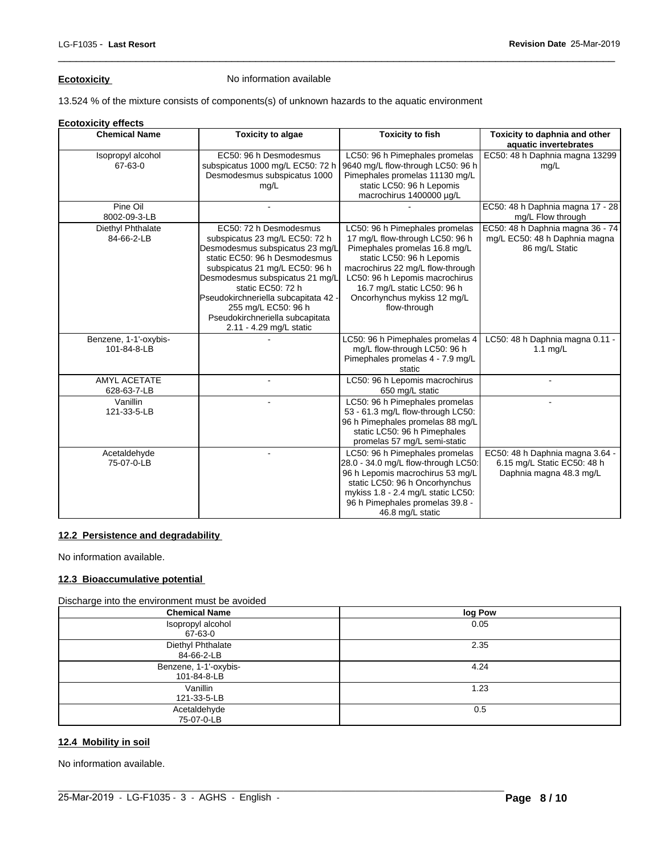# **Ecotoxicity No information available**

13.524 % of the mixture consists of components(s) of unknown hazards to the aquatic environment

## **Ecotoxicity effects**

| <b>Chemical Name</b>                 | <b>Toxicity to algae</b>                                                                                                                                                                                                                                                                                                                          | <b>Toxicity to fish</b>                                                                                                                                                                                                                                                             | Toxicity to daphnia and other<br>aquatic invertebrates                                    |
|--------------------------------------|---------------------------------------------------------------------------------------------------------------------------------------------------------------------------------------------------------------------------------------------------------------------------------------------------------------------------------------------------|-------------------------------------------------------------------------------------------------------------------------------------------------------------------------------------------------------------------------------------------------------------------------------------|-------------------------------------------------------------------------------------------|
| Isopropyl alcohol<br>67-63-0         | EC50: 96 h Desmodesmus<br>subspicatus 1000 mg/L EC50: 72 h<br>Desmodesmus subspicatus 1000<br>mg/L                                                                                                                                                                                                                                                | LC50: 96 h Pimephales promelas<br>9640 mg/L flow-through LC50: 96 h<br>Pimephales promelas 11130 mg/L<br>static LC50: 96 h Lepomis<br>macrochirus 1400000 µg/L                                                                                                                      | EC50: 48 h Daphnia magna 13299<br>mq/L                                                    |
| Pine Oil<br>8002-09-3-LB             |                                                                                                                                                                                                                                                                                                                                                   |                                                                                                                                                                                                                                                                                     | EC50: 48 h Daphnia magna 17 - 28<br>mg/L Flow through                                     |
| Diethyl Phthalate<br>84-66-2-LB      | EC50: 72 h Desmodesmus<br>subspicatus 23 mg/L EC50: 72 h<br>Desmodesmus subspicatus 23 mg/L<br>static EC50: 96 h Desmodesmus<br>subspicatus 21 mg/L EC50: 96 h<br>Desmodesmus subspicatus 21 mg/L<br>static EC50: 72 h<br>Pseudokirchneriella subcapitata 42<br>255 mg/L EC50: 96 h<br>Pseudokirchneriella subcapitata<br>2.11 - 4.29 mg/L static | LC50: 96 h Pimephales promelas<br>17 mg/L flow-through LC50: 96 h<br>Pimephales promelas 16.8 mg/L<br>static LC50: 96 h Lepomis<br>macrochirus 22 mg/L flow-through<br>LC50: 96 h Lepomis macrochirus<br>16.7 mg/L static LC50: 96 h<br>Oncorhynchus mykiss 12 mg/L<br>flow-through | EC50: 48 h Daphnia magna 36 - 74<br>mg/L EC50: 48 h Daphnia magna<br>86 mg/L Static       |
| Benzene, 1-1'-oxybis-<br>101-84-8-LB |                                                                                                                                                                                                                                                                                                                                                   | LC50: 96 h Pimephales promelas 4<br>mg/L flow-through LC50: 96 h<br>Pimephales promelas 4 - 7.9 mg/L<br>static                                                                                                                                                                      | LC50: 48 h Daphnia magna 0.11 -<br>1.1 mg/L                                               |
| <b>AMYL ACETATE</b><br>628-63-7-LB   | ÷.                                                                                                                                                                                                                                                                                                                                                | LC50: 96 h Lepomis macrochirus<br>650 mg/L static                                                                                                                                                                                                                                   | $\sim$                                                                                    |
| Vanillin<br>121-33-5-LB              |                                                                                                                                                                                                                                                                                                                                                   | LC50: 96 h Pimephales promelas<br>53 - 61.3 mg/L flow-through LC50:<br>96 h Pimephales promelas 88 mg/L<br>static LC50: 96 h Pimephales<br>promelas 57 mg/L semi-static                                                                                                             |                                                                                           |
| Acetaldehyde<br>75-07-0-LB           | ÷.                                                                                                                                                                                                                                                                                                                                                | LC50: 96 h Pimephales promelas<br>28.0 - 34.0 mg/L flow-through LC50:<br>96 h Lepomis macrochirus 53 mg/L<br>static LC50: 96 h Oncorhynchus<br>mykiss 1.8 - 2.4 mg/L static LC50:<br>96 h Pimephales promelas 39.8 -<br>46.8 mg/L static                                            | EC50: 48 h Daphnia magna 3.64 -<br>6.15 mg/L Static EC50: 48 h<br>Daphnia magna 48.3 mg/L |

 $\_$  ,  $\_$  ,  $\_$  ,  $\_$  ,  $\_$  ,  $\_$  ,  $\_$  ,  $\_$  ,  $\_$  ,  $\_$  ,  $\_$  ,  $\_$  ,  $\_$  ,  $\_$  ,  $\_$  ,  $\_$  ,  $\_$  ,  $\_$  ,  $\_$  ,  $\_$  ,  $\_$  ,  $\_$  ,  $\_$  ,  $\_$  ,  $\_$  ,  $\_$  ,  $\_$  ,  $\_$  ,  $\_$  ,  $\_$  ,  $\_$  ,  $\_$  ,  $\_$  ,  $\_$  ,  $\_$  ,  $\_$  ,  $\_$  ,

# **12.2 Persistence and degradability**

No information available.

# **12.3 Bioaccumulative potential**

Discharge into the environment must be avoided

| <b>Chemical Name</b>                 | log Pow |
|--------------------------------------|---------|
| Isopropyl alcohol<br>67-63-0         | 0.05    |
| Diethyl Phthalate<br>84-66-2-LB      | 2.35    |
| Benzene, 1-1'-oxybis-<br>101-84-8-LB | 4.24    |
| Vanillin<br>121-33-5-LB              | 1.23    |
| Acetaldehyde<br>75-07-0-LB           | 0.5     |

 $\_$  , and the set of the set of the set of the set of the set of the set of the set of the set of the set of the set of the set of the set of the set of the set of the set of the set of the set of the set of the set of th

# **12.4 Mobility in soil**

No information available.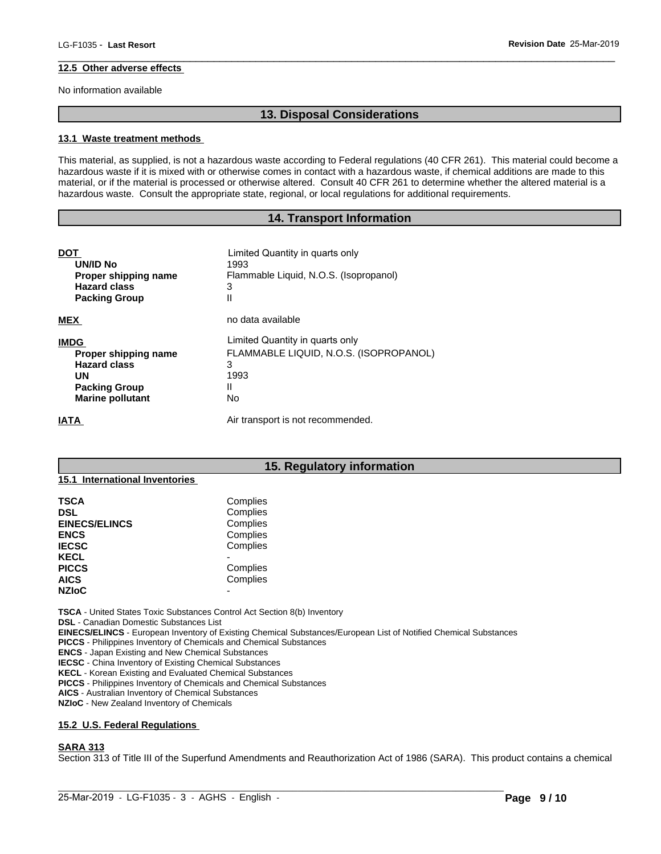## **12.5 Other adverse effects**

No information available

 $\_$  ,  $\_$  ,  $\_$  ,  $\_$  ,  $\_$  ,  $\_$  ,  $\_$  ,  $\_$  ,  $\_$  ,  $\_$  ,  $\_$  ,  $\_$  ,  $\_$  ,  $\_$  ,  $\_$  ,  $\_$  ,  $\_$  ,  $\_$  ,  $\_$  ,  $\_$  ,  $\_$  ,  $\_$  ,  $\_$  ,  $\_$  ,  $\_$  ,  $\_$  ,  $\_$  ,  $\_$  ,  $\_$  ,  $\_$  ,  $\_$  ,  $\_$  ,  $\_$  ,  $\_$  ,  $\_$  ,  $\_$  ,  $\_$  ,

### **13.1 Waste treatment methods**

**13. Disposal Considerations**<br> **13. Disposal Considerations**<br>
Maste according to Federal regulations (40 CFR 261). This material This material, as supplied, is not a hazardous waste according to Federal regulations (40 CFR 261). This material could become a hazardous waste if it is mixed with or otherwise comes in contact with a hazardous waste, if chemical additions are made to this material, or if the material is processed or otherwise altered. Consult 40 CFR 261 to determine whether the altered material is a hazardous waste. Consult the appropriate state, regional, or local regulations for additional requirements. **14. Transport Information**<br>**14. Transport Information Started Information**<br>
14. Transport Information Started Information are<br>
14. Transport Information<br>
14. Transport Information<br>
14. Transport Information

| <b>DOT</b><br><b>UN/ID No</b><br>Proper shipping name<br><b>Hazard class</b><br><b>Packing Group</b>                       | Limited Quantity in quarts only<br>1993<br>Flammable Liquid, N.O.S. (Isopropanol)<br>3<br>Ш       |
|----------------------------------------------------------------------------------------------------------------------------|---------------------------------------------------------------------------------------------------|
| <b>MEX</b>                                                                                                                 | no data available                                                                                 |
| <b>IMDG</b><br>Proper shipping name<br><b>Hazard class</b><br><b>UN</b><br><b>Packing Group</b><br><b>Marine pollutant</b> | Limited Quantity in quarts only<br>FLAMMABLE LIQUID, N.O.S. (ISOPROPANOL)<br>3<br>1993<br>Ш<br>No |
| <b>IATA</b>                                                                                                                | Air transport is not recommended.                                                                 |
|                                                                                                                            |                                                                                                   |
| 15.1 International Inventories                                                                                             | 15. Regulatory information                                                                        |
|                                                                                                                            |                                                                                                   |
| <b>TSCA</b>                                                                                                                | Complies                                                                                          |
| DSL                                                                                                                        | Complies                                                                                          |

| <b>TSCA</b>          | Complies |  |
|----------------------|----------|--|
| <b>DSL</b>           | Complies |  |
| <b>EINECS/ELINCS</b> | Complies |  |
| <b>ENCS</b>          | Complies |  |
| <b>IECSC</b>         | Complies |  |
| <b>KECL</b>          | -        |  |
| <b>PICCS</b>         | Complies |  |
| <b>AICS</b>          | Complies |  |
| <b>NZIOC</b>         | -        |  |

**TSCA** - United States Toxic Substances Control Act Section 8(b) Inventory

**DSL** - Canadian Domestic Substances List

**EINECS/ELINCS** - European Inventory of Existing Chemical Substances/European List of Notified Chemical Substances

**PICCS** - Philippines Inventory of Chemicals and Chemical Substances

**ENCS** - Japan Existing and New Chemical Substances

**IECSC** - China Inventory of Existing Chemical Substances

**KECL** - Korean Existing and Evaluated Chemical Substances

**PICCS** - Philippines Inventory of Chemicals and Chemical Substances

**AICS** - Australian Inventory of Chemical Substances

**NZIoC** - New Zealand Inventory of Chemicals

## **15.2 U.S. Federal Regulations**

# **SARA 313**

Section 313 of Title III of the Superfund Amendments and Reauthorization Act of 1986 (SARA). This product contains a chemical